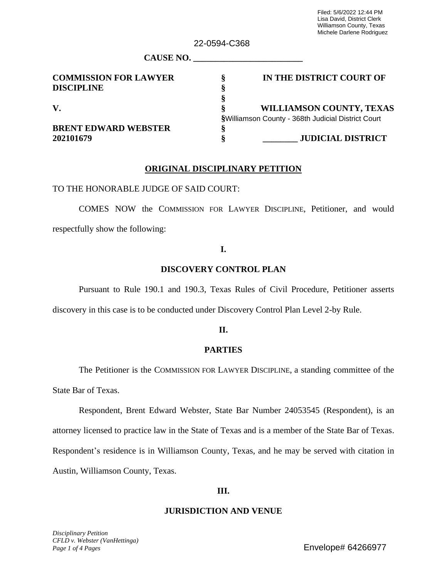| 22-0034-0000 |                                                    |  |  |  |  |
|--------------|----------------------------------------------------|--|--|--|--|
|              |                                                    |  |  |  |  |
| ş            | IN THE DISTRICT COURT OF                           |  |  |  |  |
|              |                                                    |  |  |  |  |
|              |                                                    |  |  |  |  |
|              | <b>WILLIAMSON COUNTY, TEXAS</b>                    |  |  |  |  |
|              | §Williamson County - 368th Judicial District Court |  |  |  |  |
|              |                                                    |  |  |  |  |
|              | <b>JUDICIAL DISTRICT</b>                           |  |  |  |  |
|              |                                                    |  |  |  |  |

 $22.0504$   $C368$ 

## **ORIGINAL DISCIPLINARY PETITION**

TO THE HONORABLE JUDGE OF SAID COURT:

COMES NOW the COMMISSION FOR LAWYER DISCIPLINE, Petitioner, and would respectfully show the following:

## **I.**

## **DISCOVERY CONTROL PLAN**

Pursuant to Rule 190.1 and 190.3, Texas Rules of Civil Procedure, Petitioner asserts

discovery in this case is to be conducted under Discovery Control Plan Level 2-by Rule.

## **II.**

## **PARTIES**

The Petitioner is the COMMISSION FOR LAWYER DISCIPLINE, a standing committee of the State Bar of Texas.

Respondent, Brent Edward Webster, State Bar Number 24053545 (Respondent), is an attorney licensed to practice law in the State of Texas and is a member of the State Bar of Texas. Respondent's residence is in Williamson County, Texas, and he may be served with citation in Austin, Williamson County, Texas.

## **III.**

## **JURISDICTION AND VENUE**

*Disciplinary Petition CFLD v. Webster (VanHettinga) Page 1 of 4 Pages*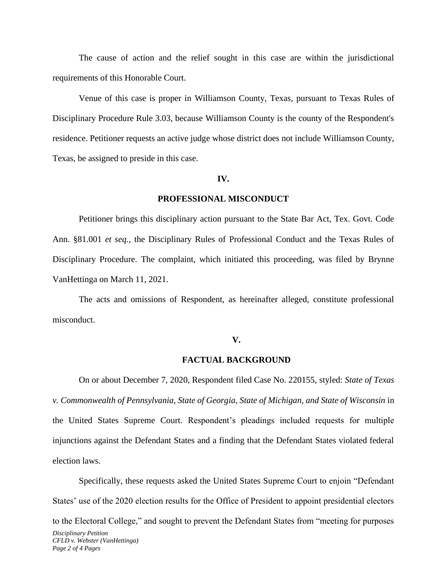The cause of action and the relief sought in this case are within the jurisdictional requirements of this Honorable Court.

Venue of this case is proper in Williamson County, Texas, pursuant to Texas Rules of Disciplinary Procedure Rule 3.03, because Williamson County is the county of the Respondent's residence. Petitioner requests an active judge whose district does not include Williamson County, Texas, be assigned to preside in this case.

#### **IV.**

#### **PROFESSIONAL MISCONDUCT**

Petitioner brings this disciplinary action pursuant to the State Bar Act, Tex. Govt. Code Ann. §81.001 *et seq.,* the Disciplinary Rules of Professional Conduct and the Texas Rules of Disciplinary Procedure. The complaint, which initiated this proceeding, was filed by Brynne VanHettinga on March 11, 2021.

The acts and omissions of Respondent, as hereinafter alleged, constitute professional misconduct.

#### **V.**

#### **FACTUAL BACKGROUND**

On or about December 7, 2020, Respondent filed Case No. 220155, styled: *State of Texas v. Commonwealth of Pennsylvania, State of Georgia, State of Michigan, and State of Wisconsin* in the United States Supreme Court. Respondent's pleadings included requests for multiple injunctions against the Defendant States and a finding that the Defendant States violated federal election laws.

*Disciplinary Petition CFLD v. Webster (VanHettinga) Page 2 of 4 Pages*  Specifically, these requests asked the United States Supreme Court to enjoin "Defendant States' use of the 2020 election results for the Office of President to appoint presidential electors to the Electoral College," and sought to prevent the Defendant States from "meeting for purposes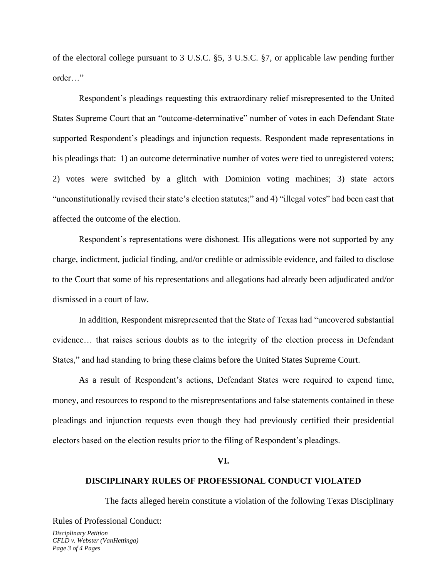of the electoral college pursuant to 3 U.S.C. §5, 3 U.S.C. §7, or applicable law pending further order…"

Respondent's pleadings requesting this extraordinary relief misrepresented to the United States Supreme Court that an "outcome-determinative" number of votes in each Defendant State supported Respondent's pleadings and injunction requests. Respondent made representations in his pleadings that: 1) an outcome determinative number of votes were tied to unregistered voters; 2) votes were switched by a glitch with Dominion voting machines; 3) state actors "unconstitutionally revised their state's election statutes;" and 4) "illegal votes" had been cast that affected the outcome of the election.

Respondent's representations were dishonest. His allegations were not supported by any charge, indictment, judicial finding, and/or credible or admissible evidence, and failed to disclose to the Court that some of his representations and allegations had already been adjudicated and/or dismissed in a court of law.

In addition, Respondent misrepresented that the State of Texas had "uncovered substantial evidence… that raises serious doubts as to the integrity of the election process in Defendant States," and had standing to bring these claims before the United States Supreme Court.

As a result of Respondent's actions, Defendant States were required to expend time, money, and resources to respond to the misrepresentations and false statements contained in these pleadings and injunction requests even though they had previously certified their presidential electors based on the election results prior to the filing of Respondent's pleadings.

#### **VI.**

## **DISCIPLINARY RULES OF PROFESSIONAL CONDUCT VIOLATED**

The facts alleged herein constitute a violation of the following Texas Disciplinary Rules of Professional Conduct:

*Disciplinary Petition CFLD v. Webster (VanHettinga) Page 3 of 4 Pages*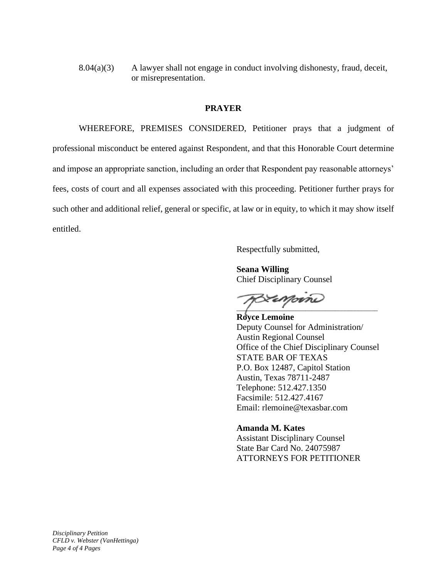8.04(a)(3) A lawyer shall not engage in conduct involving dishonesty, fraud, deceit, or misrepresentation.

### **PRAYER**

WHEREFORE, PREMISES CONSIDERED, Petitioner prays that a judgment of professional misconduct be entered against Respondent, and that this Honorable Court determine and impose an appropriate sanction, including an order that Respondent pay reasonable attorneys' fees, costs of court and all expenses associated with this proceeding. Petitioner further prays for such other and additional relief, general or specific, at law or in equity, to which it may show itself entitled.

Respectfully submitted,

**Seana Willing** Chief Disciplinary Counsel

Eamorne  $\overline{a}$ 

**Royce Lemoine** Deputy Counsel for Administration/ Austin Regional Counsel Office of the Chief Disciplinary Counsel STATE BAR OF TEXAS P.O. Box 12487, Capitol Station Austin, Texas 78711-2487 Telephone: 512.427.1350 Facsimile: 512.427.4167 Email: rlemoine@texasbar.com

**Amanda M. Kates** Assistant Disciplinary Counsel State Bar Card No. 24075987 ATTORNEYS FOR PETITIONER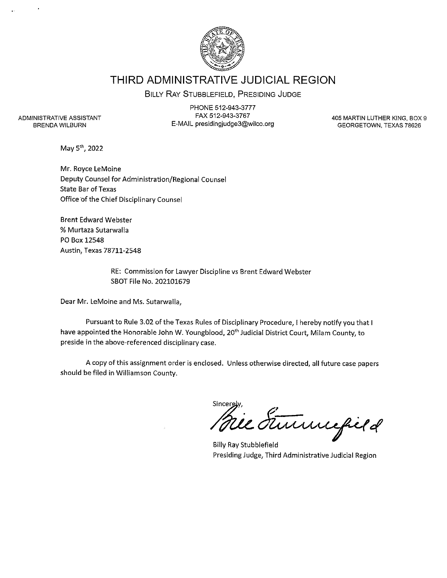

# THIRD ADMINISTRATIVE JUDICIAL REGION

## BILLY RAY STUBBLEFIELD, PRESIDING JUDGE

ADMINISTRATIVE ASSISTANT **BRENDA WILBURN** 

PHONE 512-943-3777 FAX 512-943-3767 E-MAIL presidingjudge3@wilco.org

405 MARTIN LUTHER KING, BOX 9 GEORGETOWN, TEXAS 78626

May 5<sup>th</sup>, 2022

Mr. Royce LeMoine Deputy Counsel for Administration/Regional Counsel **State Bar of Texas** Office of the Chief Disciplinary Counsel

**Brent Edward Webster** % Murtaza Sutarwalla PO Box 12548 Austin, Texas 78711-2548

> RE: Commission for Lawyer Discipline vs Brent Edward Webster SBOT File No. 202101679

Dear Mr. LeMoine and Ms. Sutarwalla,

Pursuant to Rule 3.02 of the Texas Rules of Disciplinary Procedure, I hereby notify you that I have appointed the Honorable John W. Youngblood, 20<sup>th</sup> Judicial District Court, Milam County, to preside in the above-referenced disciplinary case.

A copy of this assignment order is enclosed. Unless otherwise directed, all future case papers should be filed in Williamson County.

sincerely,<br>Mile Funningfield Sincerely

**Billy Ray Stubblefield** Presiding Judge, Third Administrative Judicial Region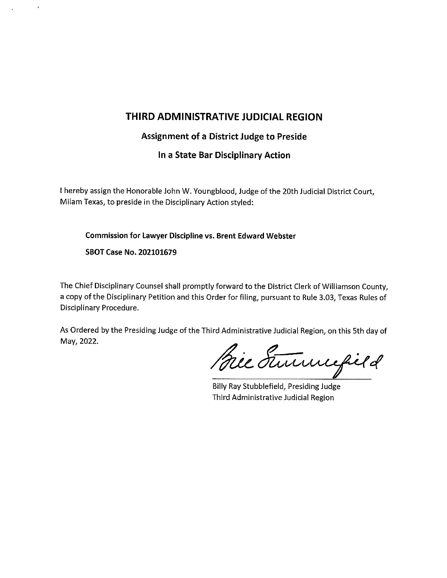# THIRD ADMINISTRATIVE JUDICIAL REGION

## Assignment of a District Judge to Preside

In a State Bar Disciplinary Action

I hereby assign the Honorable John W. Youngblood, Judge of the 20th Judicial District Court, Milam Texas, to preside in the Disciplinary Action styled:

Commission for Lawyer Discipline vs. Brent Edward Webster

SBOT Case No. 202101679

The Chief Disciplinary Counsel shall promptly forward to the District Clerk of Williamson County, a copy of the Disciplinary Petition and this Order for filing, pursuant to Rule 3.03, Texas Rules of Disciplinary Procedure.

As Ordered by the Presiding Judge of the Third Administrative Judicial Region, on this 5th day of May, 2022.

Bie Summefield

Billy Ray Stubblefield, Presiding Judge Third Administrative Judicial Region